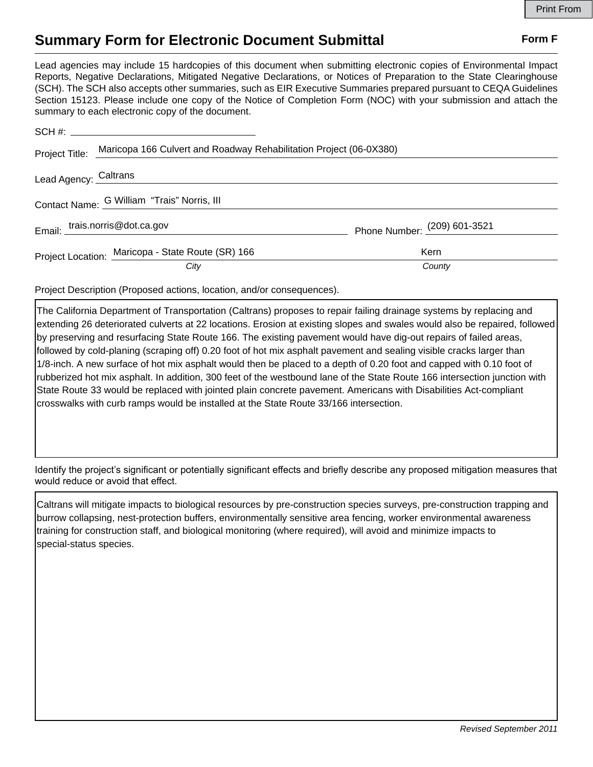## **Summary Form for Electronic Document Submittal Form F Form F**

Lead agencies may include 15 hardcopies of this document when submitting electronic copies of Environmental Impact Reports, Negative Declarations, Mitigated Negative Declarations, or Notices of Preparation to the State Clearinghouse (SCH). The SCH also accepts other summaries, such as EIR Executive Summaries prepared pursuant to CEQA Guidelines Section 15123. Please include one copy of the Notice of Completion Form (NOC) with your submission and attach the summary to each electronic copy of the document.

|                                             | Project Title: Maricopa 166 Culvert and Roadway Rehabilitation Project (06-0X380) |                              |
|---------------------------------------------|-----------------------------------------------------------------------------------|------------------------------|
|                                             | Lead Agency: Caltrans                                                             |                              |
| Contact Name: G William "Trais" Norris, III |                                                                                   |                              |
|                                             | Email: trais.norris@dot.ca.gov                                                    | Phone Number: (209) 601-3521 |
|                                             | Project Location: Maricopa - State Route (SR) 166                                 | Kern                         |
|                                             | City                                                                              | County                       |

Project Description (Proposed actions, location, and/or consequences).

The California Department of Transportation (Caltrans) proposes to repair failing drainage systems by replacing and extending 26 deteriorated culverts at 22 locations. Erosion at existing slopes and swales would also be repaired, followed by preserving and resurfacing State Route 166. The existing pavement would have dig-out repairs of failed areas, followed by cold-planing (scraping off) 0.20 foot of hot mix asphalt pavement and sealing visible cracks larger than 1/8-inch. A new surface of hot mix asphalt would then be placed to a depth of 0.20 foot and capped with 0.10 foot of rubberized hot mix asphalt. In addition, 300 feet of the westbound lane of the State Route 166 intersection junction with State Route 33 would be replaced with jointed plain concrete pavement. Americans with Disabilities Act-compliant crosswalks with curb ramps would be installed at the State Route 33/166 intersection.

Identify the project's significant or potentially significant effects and briefly describe any proposed mitigation measures that would reduce or avoid that effect.

Caltrans will mitigate impacts to biological resources by pre-construction species surveys, pre-construction trapping and burrow collapsing, nest-protection buffers, environmentally sensitive area fencing, worker environmental awareness training for construction staff, and biological monitoring (where required), will avoid and minimize impacts to special-status species.